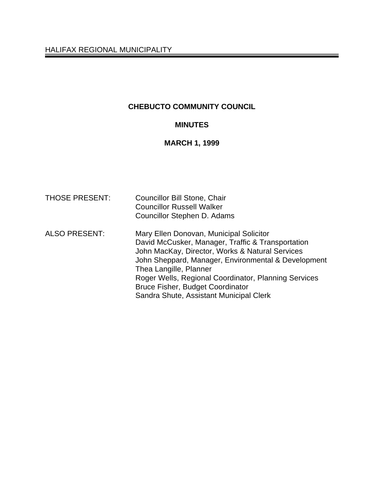# **CHEBUCTO COMMUNITY COUNCIL**

# **MINUTES**

# **MARCH 1, 1999**

| <b>THOSE PRESENT:</b> | <b>Councillor Bill Stone, Chair</b><br><b>Councillor Russell Walker</b><br>Councillor Stephen D. Adams                                                                                                                                                                                                                                                                         |
|-----------------------|--------------------------------------------------------------------------------------------------------------------------------------------------------------------------------------------------------------------------------------------------------------------------------------------------------------------------------------------------------------------------------|
| <b>ALSO PRESENT:</b>  | Mary Ellen Donovan, Municipal Solicitor<br>David McCusker, Manager, Traffic & Transportation<br>John MacKay, Director, Works & Natural Services<br>John Sheppard, Manager, Environmental & Development<br>Thea Langille, Planner<br>Roger Wells, Regional Coordinator, Planning Services<br><b>Bruce Fisher, Budget Coordinator</b><br>Sandra Shute, Assistant Municipal Clerk |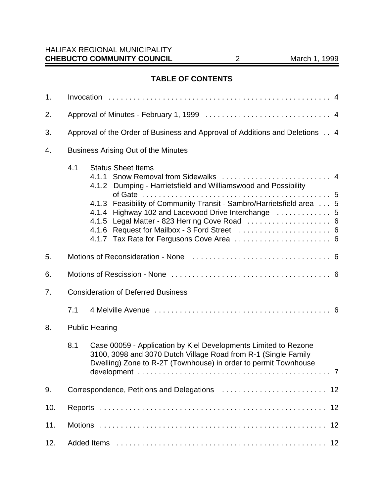# **TABLE OF CONTENTS**

| 1.                                               |     |                                                                                                                                                                                                                                                                              |
|--------------------------------------------------|-----|------------------------------------------------------------------------------------------------------------------------------------------------------------------------------------------------------------------------------------------------------------------------------|
| 2.                                               |     |                                                                                                                                                                                                                                                                              |
| 3.                                               |     | Approval of the Order of Business and Approval of Additions and Deletions 4                                                                                                                                                                                                  |
| <b>Business Arising Out of the Minutes</b><br>4. |     |                                                                                                                                                                                                                                                                              |
|                                                  | 4.1 | <b>Status Sheet Items</b><br>4.1.2 Dumping - Harrietsfield and Williamswood and Possibility<br>4.1.3 Feasibility of Community Transit - Sambro/Harrietsfield area  5<br>4.1.4 Highway 102 and Lacewood Drive Interchange  5<br>4.1.5 Legal Matter - 823 Herring Cove Road  6 |
| 5.                                               |     |                                                                                                                                                                                                                                                                              |
| 6.                                               |     |                                                                                                                                                                                                                                                                              |
| 7.                                               |     | <b>Consideration of Deferred Business</b>                                                                                                                                                                                                                                    |
|                                                  | 7.1 |                                                                                                                                                                                                                                                                              |
| 8.                                               |     | <b>Public Hearing</b>                                                                                                                                                                                                                                                        |
|                                                  | 8.1 | Case 00059 - Application by Kiel Developments Limited to Rezone<br>3100, 3098 and 3070 Dutch Village Road from R-1 (Single Family<br>Dwelling) Zone to R-2T (Townhouse) in order to permit Townhouse<br>. 7                                                                  |
| 9.                                               |     | 12                                                                                                                                                                                                                                                                           |
| 10.                                              |     |                                                                                                                                                                                                                                                                              |
| 11.                                              |     | 12                                                                                                                                                                                                                                                                           |
| 12.                                              |     |                                                                                                                                                                                                                                                                              |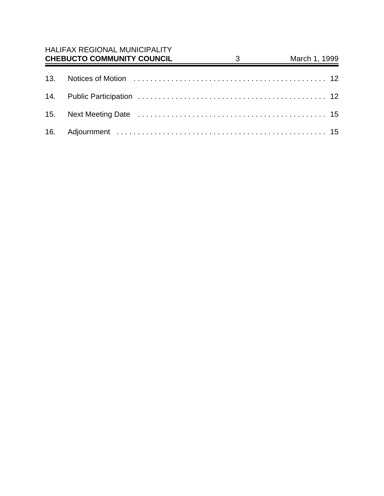| <b>HALIFAX REGIONAL MUNICIPALITY</b><br><b>CHEBUCTO COMMUNITY COUNCIL</b> | $3 \overline{3}$ | March 1, 1999 |
|---------------------------------------------------------------------------|------------------|---------------|
|                                                                           |                  |               |
|                                                                           |                  |               |
|                                                                           |                  |               |
|                                                                           |                  |               |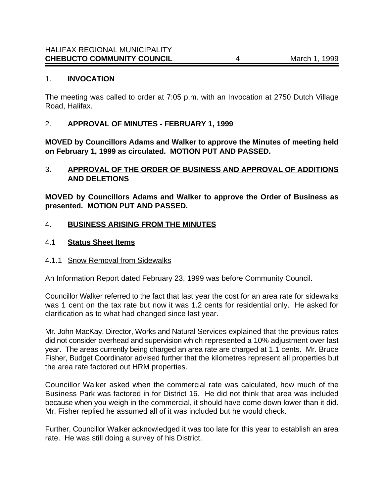#### 1. **INVOCATION**

The meeting was called to order at 7:05 p.m. with an Invocation at 2750 Dutch Village Road, Halifax.

### 2. **APPROVAL OF MINUTES - FEBRUARY 1, 1999**

**MOVED by Councillors Adams and Walker to approve the Minutes of meeting held on February 1, 1999 as circulated. MOTION PUT AND PASSED.**

# 3. **APPROVAL OF THE ORDER OF BUSINESS AND APPROVAL OF ADDITIONS AND DELETIONS**

**MOVED by Councillors Adams and Walker to approve the Order of Business as presented. MOTION PUT AND PASSED.**

#### 4. **BUSINESS ARISING FROM THE MINUTES**

#### 4.1 **Status Sheet Items**

#### 4.1.1 Snow Removal from Sidewalks

An Information Report dated February 23, 1999 was before Community Council.

Councillor Walker referred to the fact that last year the cost for an area rate for sidewalks was 1 cent on the tax rate but now it was 1.2 cents for residential only. He asked for clarification as to what had changed since last year.

Mr. John MacKay, Director, Works and Natural Services explained that the previous rates did not consider overhead and supervision which represented a 10% adjustment over last year. The areas currently being charged an area rate are charged at 1.1 cents. Mr. Bruce Fisher, Budget Coordinator advised further that the kilometres represent all properties but the area rate factored out HRM properties.

Councillor Walker asked when the commercial rate was calculated, how much of the Business Park was factored in for District 16. He did not think that area was included because when you weigh in the commercial, it should have come down lower than it did. Mr. Fisher replied he assumed all of it was included but he would check.

Further, Councillor Walker acknowledged it was too late for this year to establish an area rate. He was still doing a survey of his District.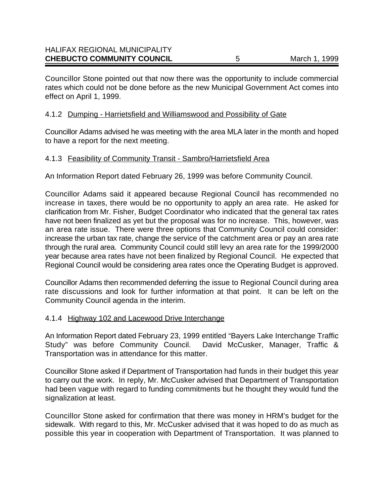Councillor Stone pointed out that now there was the opportunity to include commercial rates which could not be done before as the new Municipal Government Act comes into effect on April 1, 1999.

#### 4.1.2 Dumping - Harrietsfield and Williamswood and Possibility of Gate

Councillor Adams advised he was meeting with the area MLA later in the month and hoped to have a report for the next meeting.

#### 4.1.3 Feasibility of Community Transit - Sambro/Harrietsfield Area

An Information Report dated February 26, 1999 was before Community Council.

Councillor Adams said it appeared because Regional Council has recommended no increase in taxes, there would be no opportunity to apply an area rate. He asked for clarification from Mr. Fisher, Budget Coordinator who indicated that the general tax rates have not been finalized as yet but the proposal was for no increase. This, however, was an area rate issue. There were three options that Community Council could consider: increase the urban tax rate, change the service of the catchment area or pay an area rate through the rural area. Community Council could still levy an area rate for the 1999/2000 year because area rates have not been finalized by Regional Council. He expected that Regional Council would be considering area rates once the Operating Budget is approved.

Councillor Adams then recommended deferring the issue to Regional Council during area rate discussions and look for further information at that point. It can be left on the Community Council agenda in the interim.

#### 4.1.4 Highway 102 and Lacewood Drive Interchange

An Information Report dated February 23, 1999 entitled "Bayers Lake Interchange Traffic Study" was before Community Council. David McCusker, Manager, Traffic & Transportation was in attendance for this matter.

Councillor Stone asked if Department of Transportation had funds in their budget this year to carry out the work. In reply, Mr. McCusker advised that Department of Transportation had been vague with regard to funding commitments but he thought they would fund the signalization at least.

Councillor Stone asked for confirmation that there was money in HRM's budget for the sidewalk. With regard to this, Mr. McCusker advised that it was hoped to do as much as possible this year in cooperation with Department of Transportation. It was planned to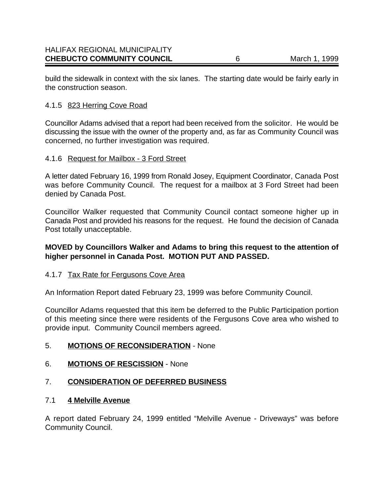build the sidewalk in context with the six lanes. The starting date would be fairly early in the construction season.

# 4.1.5 823 Herring Cove Road

Councillor Adams advised that a report had been received from the solicitor. He would be discussing the issue with the owner of the property and, as far as Community Council was concerned, no further investigation was required.

#### 4.1.6 Request for Mailbox - 3 Ford Street

A letter dated February 16, 1999 from Ronald Josey, Equipment Coordinator, Canada Post was before Community Council. The request for a mailbox at 3 Ford Street had been denied by Canada Post.

Councillor Walker requested that Community Council contact someone higher up in Canada Post and provided his reasons for the request. He found the decision of Canada Post totally unacceptable.

# **MOVED by Councillors Walker and Adams to bring this request to the attention of higher personnel in Canada Post. MOTION PUT AND PASSED.**

#### 4.1.7 Tax Rate for Fergusons Cove Area

An Information Report dated February 23, 1999 was before Community Council.

Councillor Adams requested that this item be deferred to the Public Participation portion of this meeting since there were residents of the Fergusons Cove area who wished to provide input. Community Council members agreed.

# 5. **MOTIONS OF RECONSIDERATION** - None

#### 6. **MOTIONS OF RESCISSION** - None

# 7. **CONSIDERATION OF DEFERRED BUSINESS**

#### 7.1 **4 Melville Avenue**

A report dated February 24, 1999 entitled "Melville Avenue - Driveways" was before Community Council.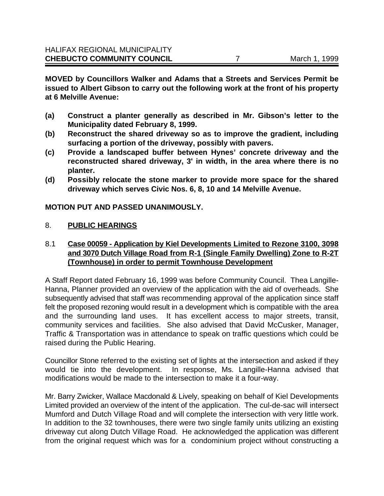**MOVED by Councillors Walker and Adams that a Streets and Services Permit be issued to Albert Gibson to carry out the following work at the front of his property at 6 Melville Avenue:**

- **(a) Construct a planter generally as described in Mr. Gibson's letter to the Municipality dated February 8, 1999.**
- **(b) Reconstruct the shared driveway so as to improve the gradient, including surfacing a portion of the driveway, possibly with pavers.**
- **(c) Provide a landscaped buffer between Hynes' concrete driveway and the reconstructed shared driveway, 3' in width, in the area where there is no planter.**
- **(d) Possibly relocate the stone marker to provide more space for the shared driveway which serves Civic Nos. 6, 8, 10 and 14 Melville Avenue.**

#### **MOTION PUT AND PASSED UNANIMOUSLY.**

#### 8. **PUBLIC HEARINGS**

# 8.1 **Case 00059 - Application by Kiel Developments Limited to Rezone 3100, 3098 and 3070 Dutch Village Road from R-1 (Single Family Dwelling) Zone to R-2T (Townhouse) in order to permit Townhouse Development**

A Staff Report dated February 16, 1999 was before Community Council. Thea Langille-Hanna, Planner provided an overview of the application with the aid of overheads. She subsequently advised that staff was recommending approval of the application since staff felt the proposed rezoning would result in a development which is compatible with the area and the surrounding land uses. It has excellent access to major streets, transit, community services and facilities.She also advised that David McCusker, Manager, Traffic & Transportation was in attendance to speak on traffic questions which could be raised during the Public Hearing.

Councillor Stone referred to the existing set of lights at the intersection and asked if they would tie into the development. In response, Ms. Langille-Hanna advised that modifications would be made to the intersection to make it a four-way.

Mr. Barry Zwicker, Wallace Macdonald & Lively, speaking on behalf of Kiel Developments Limited provided an overview of the intent of the application. The cul-de-sac will intersect Mumford and Dutch Village Road and will complete the intersection with very little work. In addition to the 32 townhouses, there were two single family units utilizing an existing driveway cut along Dutch Village Road. He acknowledged the application was different from the original request which was for a condominium project without constructing a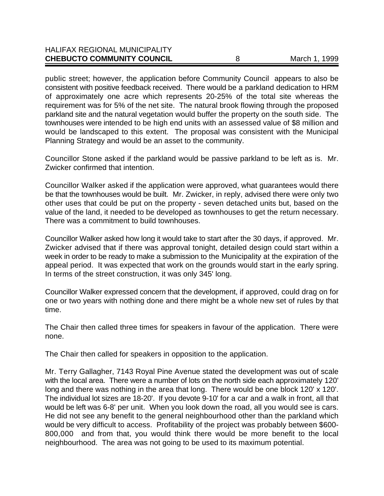| <b>CHEBUCTO COMMUNITY COUNCIL</b>    | March 1, 1999 |
|--------------------------------------|---------------|
| <b>HALIFAX REGIONAL MUNICIPALITY</b> |               |

public street; however, the application before Community Council appears to also be consistent with positive feedback received. There would be a parkland dedication to HRM of approximately one acre which represents 20-25% of the total site whereas the requirement was for 5% of the net site. The natural brook flowing through the proposed parkland site and the natural vegetation would buffer the property on the south side. The townhouses were intended to be high end units with an assessed value of \$8 million and would be landscaped to this extent. The proposal was consistent with the Municipal Planning Strategy and would be an asset to the community.

Councillor Stone asked if the parkland would be passive parkland to be left as is. Mr. Zwicker confirmed that intention.

Councillor Walker asked if the application were approved, what guarantees would there be that the townhouses would be built. Mr. Zwicker, in reply, advised there were only two other uses that could be put on the property - seven detached units but, based on the value of the land, it needed to be developed as townhouses to get the return necessary. There was a commitment to build townhouses.

Councillor Walker asked how long it would take to start after the 30 days, if approved. Mr. Zwicker advised that if there was approval tonight, detailed design could start within a week in order to be ready to make a submission to the Municipality at the expiration of the appeal period. It was expected that work on the grounds would start in the early spring. In terms of the street construction, it was only 345' long.

Councillor Walker expressed concern that the development, if approved, could drag on for one or two years with nothing done and there might be a whole new set of rules by that time.

The Chair then called three times for speakers in favour of the application. There were none.

The Chair then called for speakers in opposition to the application.

Mr. Terry Gallagher, 7143 Royal Pine Avenue stated the development was out of scale with the local area. There were a number of lots on the north side each approximately 120' long and there was nothing in the area that long. There would be one block 120' x 120'. The individual lot sizes are 18-20'. If you devote 9-10' for a car and a walk in front, all that would be left was 6-8' per unit. When you look down the road, all you would see is cars. He did not see any benefit to the general neighbourhood other than the parkland which would be very difficult to access. Profitability of the project was probably between \$600- 800,000 and from that, you would think there would be more benefit to the local neighbourhood. The area was not going to be used to its maximum potential.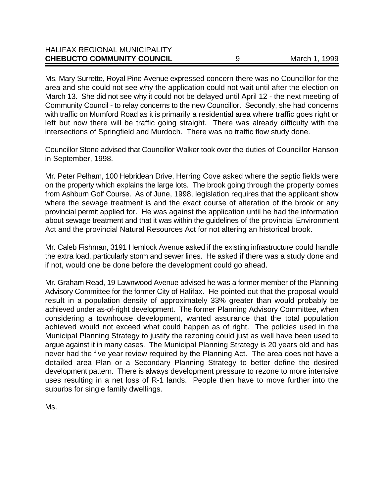| <b>CHEBUCTO COMMUNITY COUNCIL</b>    | March 1, 1999 |
|--------------------------------------|---------------|
| <b>HALIFAX REGIONAL MUNICIPALITY</b> |               |

Ms. Mary Surrette, Royal Pine Avenue expressed concern there was no Councillor for the area and she could not see why the application could not wait until after the election on March 13. She did not see why it could not be delayed until April 12 - the next meeting of Community Council - to relay concerns to the new Councillor. Secondly, she had concerns with traffic on Mumford Road as it is primarily a residential area where traffic goes right or left but now there will be traffic going straight. There was already difficulty with the intersections of Springfield and Murdoch. There was no traffic flow study done.

Councillor Stone advised that Councillor Walker took over the duties of Councillor Hanson in September, 1998.

Mr. Peter Pelham, 100 Hebridean Drive, Herring Cove asked where the septic fields were on the property which explains the large lots. The brook going through the property comes from Ashburn Golf Course. As of June, 1998, legislation requires that the applicant show where the sewage treatment is and the exact course of alteration of the brook or any provincial permit applied for. He was against the application until he had the information about sewage treatment and that it was within the guidelines of the provincial Environment Act and the provincial Natural Resources Act for not altering an historical brook.

Mr. Caleb Fishman, 3191 Hemlock Avenue asked if the existing infrastructure could handle the extra load, particularly storm and sewer lines. He asked if there was a study done and if not, would one be done before the development could go ahead.

Mr. Graham Read, 19 Lawnwood Avenue advised he was a former member of the Planning Advisory Committee for the former City of Halifax. He pointed out that the proposal would result in a population density of approximately 33% greater than would probably be achieved under as-of-right development. The former Planning Advisory Committee, when considering a townhouse development, wanted assurance that the total population achieved would not exceed what could happen as of right. The policies used in the Municipal Planning Strategy to justify the rezoning could just as well have been used to argue against it in many cases. The Municipal Planning Strategy is 20 years old and has never had the five year review required by the Planning Act. The area does not have a detailed area Plan or a Secondary Planning Strategy to better define the desired development pattern. There is always development pressure to rezone to more intensive uses resulting in a net loss of R-1 lands. People then have to move further into the suburbs for single family dwellings.

Ms.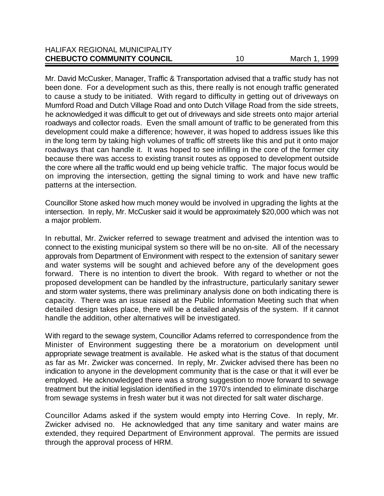Mr. David McCusker, Manager, Traffic & Transportation advised that a traffic study has not been done. For a development such as this, there really is not enough traffic generated to cause a study to be initiated. With regard to difficulty in getting out of driveways on Mumford Road and Dutch Village Road and onto Dutch Village Road from the side streets, he acknowledged it was difficult to get out of driveways and side streets onto major arterial roadways and collector roads. Even the small amount of traffic to be generated from this development could make a difference; however, it was hoped to address issues like this in the long term by taking high volumes of traffic off streets like this and put it onto major roadways that can handle it. It was hoped to see infilling in the core of the former city because there was access to existing transit routes as opposed to development outside the core where all the traffic would end up being vehicle traffic. The major focus would be on improving the intersection, getting the signal timing to work and have new traffic patterns at the intersection.

Councillor Stone asked how much money would be involved in upgrading the lights at the intersection. In reply, Mr. McCusker said it would be approximately \$20,000 which was not a major problem.

In rebuttal, Mr. Zwicker referred to sewage treatment and advised the intention was to connect to the existing municipal system so there will be no on-site. All of the necessary approvals from Department of Environment with respect to the extension of sanitary sewer and water systems will be sought and achieved before any of the development goes forward. There is no intention to divert the brook. With regard to whether or not the proposed development can be handled by the infrastructure, particularly sanitary sewer and storm water systems, there was preliminary analysis done on both indicating there is capacity. There was an issue raised at the Public Information Meeting such that when detailed design takes place, there will be a detailed analysis of the system. If it cannot handle the addition, other alternatives will be investigated.

With regard to the sewage system, Councillor Adams referred to correspondence from the Minister of Environment suggesting there be a moratorium on development until appropriate sewage treatment is available. He asked what is the status of that document as far as Mr. Zwicker was concerned. In reply, Mr. Zwicker advised there has been no indication to anyone in the development community that is the case or that it will ever be employed. He acknowledged there was a strong suggestion to move forward to sewage treatment but the initial legislation identified in the 1970's intended to eliminate discharge from sewage systems in fresh water but it was not directed for salt water discharge.

Councillor Adams asked if the system would empty into Herring Cove. In reply, Mr. Zwicker advised no. He acknowledged that any time sanitary and water mains are extended, they required Department of Environment approval. The permits are issued through the approval process of HRM.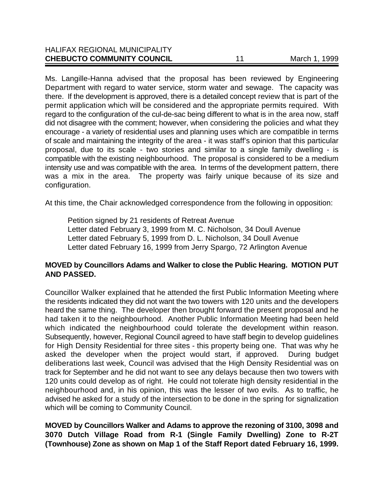| <b>CHEBUCTO COMMUNITY COUNCIL</b>    | March 1, 1999 |
|--------------------------------------|---------------|
| <b>HALIFAX REGIONAL MUNICIPALITY</b> |               |

Ms. Langille-Hanna advised that the proposal has been reviewed by Engineering Department with regard to water service, storm water and sewage. The capacity was there. If the development is approved, there is a detailed concept review that is part of the permit application which will be considered and the appropriate permits required. With regard to the configuration of the cul-de-sac being different to what is in the area now, staff did not disagree with the comment; however, when considering the policies and what they encourage - a variety of residential uses and planning uses which are compatible in terms of scale and maintaining the integrity of the area - it was staff's opinion that this particular proposal, due to its scale - two stories and similar to a single family dwelling - is compatible with the existing neighbourhood. The proposal is considered to be a medium intensity use and was compatible with the area. In terms of the development pattern, there was a mix in the area. The property was fairly unique because of its size and configuration.

At this time, the Chair acknowledged correspondence from the following in opposition:

Petition signed by 21 residents of Retreat Avenue Letter dated February 3, 1999 from M. C. Nicholson, 34 Doull Avenue Letter dated February 5, 1999 from D. L. Nicholson, 34 Doull Avenue Letter dated February 16, 1999 from Jerry Spargo, 72 Arlington Avenue

# **MOVED by Councillors Adams and Walker to close the Public Hearing. MOTION PUT AND PASSED.**

Councillor Walker explained that he attended the first Public Information Meeting where the residents indicated they did not want the two towers with 120 units and the developers heard the same thing. The developer then brought forward the present proposal and he had taken it to the neighbourhood. Another Public Information Meeting had been held which indicated the neighbourhood could tolerate the development within reason. Subsequently, however, Regional Council agreed to have staff begin to develop guidelines for High Density Residential for three sites - this property being one. That was why he asked the developer when the project would start, if approved. During budget deliberations last week, Council was advised that the High Density Residential was on track for September and he did not want to see any delays because then two towers with 120 units could develop as of right. He could not tolerate high density residential in the neighbourhood and, in his opinion, this was the lesser of two evils. As to traffic, he advised he asked for a study of the intersection to be done in the spring for signalization which will be coming to Community Council.

**MOVED by Councillors Walker and Adams to approve the rezoning of 3100, 3098 and 3070 Dutch Village Road from R-1 (Single Family Dwelling) Zone to R-2T (Townhouse) Zone as shown on Map 1 of the Staff Report dated February 16, 1999.**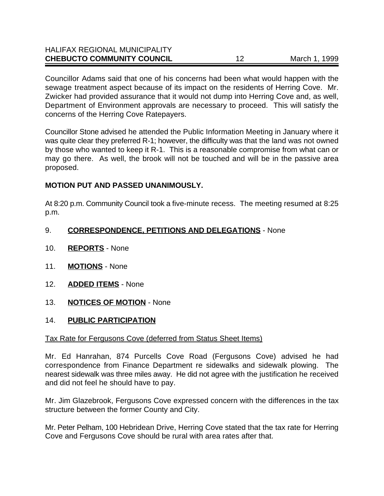| <b>CHEBUCTO COMMUNITY COUNCIL</b>    | March 1, 1999 |
|--------------------------------------|---------------|
| <b>HALIFAX REGIONAL MUNICIPALITY</b> |               |

Councillor Adams said that one of his concerns had been what would happen with the sewage treatment aspect because of its impact on the residents of Herring Cove. Mr. Zwicker had provided assurance that it would not dump into Herring Cove and, as well, Department of Environment approvals are necessary to proceed. This will satisfy the concerns of the Herring Cove Ratepayers.

Councillor Stone advised he attended the Public Information Meeting in January where it was quite clear they preferred R-1; however, the difficulty was that the land was not owned by those who wanted to keep it R-1. This is a reasonable compromise from what can or may go there. As well, the brook will not be touched and will be in the passive area proposed.

# **MOTION PUT AND PASSED UNANIMOUSLY.**

At 8:20 p.m. Community Council took a five-minute recess. The meeting resumed at 8:25 p.m.

# 9. **CORRESPONDENCE, PETITIONS AND DELEGATIONS** - None

- 10. **REPORTS** None
- 11. **MOTIONS** None
- 12. **ADDED ITEMS** None
- 13. **NOTICES OF MOTION** None

#### 14. **PUBLIC PARTICIPATION**

#### Tax Rate for Fergusons Cove (deferred from Status Sheet Items)

Mr. Ed Hanrahan, 874 Purcells Cove Road (Fergusons Cove) advised he had correspondence from Finance Department re sidewalks and sidewalk plowing. The nearest sidewalk was three miles away. He did not agree with the justification he received and did not feel he should have to pay.

Mr. Jim Glazebrook, Fergusons Cove expressed concern with the differences in the tax structure between the former County and City.

Mr. Peter Pelham, 100 Hebridean Drive, Herring Cove stated that the tax rate for Herring Cove and Fergusons Cove should be rural with area rates after that.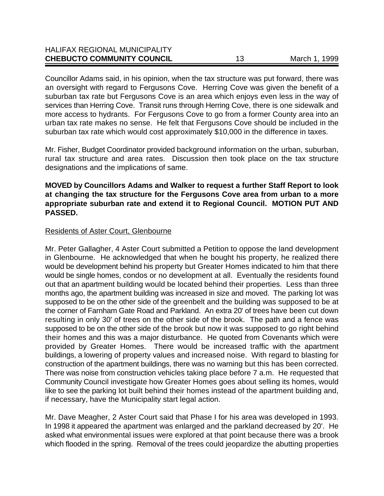| <b>HALIFAX REGIONAL MUNICIPALITY</b> |               |
|--------------------------------------|---------------|
| <b>CHEBUCTO COMMUNITY COUNCIL</b>    | March 1, 1999 |
|                                      |               |

Councillor Adams said, in his opinion, when the tax structure was put forward, there was an oversight with regard to Fergusons Cove. Herring Cove was given the benefit of a suburban tax rate but Fergusons Cove is an area which enjoys even less in the way of services than Herring Cove. Transit runs through Herring Cove, there is one sidewalk and more access to hydrants. For Fergusons Cove to go from a former County area into an urban tax rate makes no sense. He felt that Fergusons Cove should be included in the suburban tax rate which would cost approximately \$10,000 in the difference in taxes.

Mr. Fisher, Budget Coordinator provided background information on the urban, suburban, rural tax structure and area rates. Discussion then took place on the tax structure designations and the implications of same.

### **MOVED by Councillors Adams and Walker to request a further Staff Report to look at changing the tax structure for the Fergusons Cove area from urban to a more appropriate suburban rate and extend it to Regional Council. MOTION PUT AND PASSED.**

#### Residents of Aster Court, Glenbourne

Mr. Peter Gallagher, 4 Aster Court submitted a Petition to oppose the land development in Glenbourne. He acknowledged that when he bought his property, he realized there would be development behind his property but Greater Homes indicated to him that there would be single homes, condos or no development at all. Eventually the residents found out that an apartment building would be located behind their properties. Less than three months ago, the apartment building was increased in size and moved. The parking lot was supposed to be on the other side of the greenbelt and the building was supposed to be at the corner of Farnham Gate Road and Parkland. An extra 20' of trees have been cut down resulting in only 30' of trees on the other side of the brook. The path and a fence was supposed to be on the other side of the brook but now it was supposed to go right behind their homes and this was a major disturbance. He quoted from Covenants which were provided by Greater Homes. There would be increased traffic with the apartment buildings, a lowering of property values and increased noise. With regard to blasting for construction of the apartment buildings, there was no warning but this has been corrected. There was noise from construction vehicles taking place before 7 a.m. He requested that Community Council investigate how Greater Homes goes about selling its homes, would like to see the parking lot built behind their homes instead of the apartment building and, if necessary, have the Municipality start legal action.

Mr. Dave Meagher, 2 Aster Court said that Phase I for his area was developed in 1993. In 1998 it appeared the apartment was enlarged and the parkland decreased by 20'. He asked what environmental issues were explored at that point because there was a brook which flooded in the spring. Removal of the trees could jeopardize the abutting properties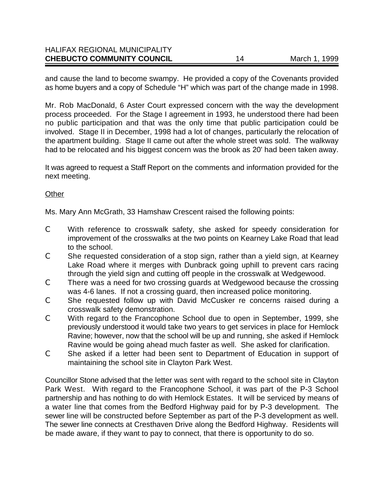| <b>CHEBUCTO COMMUNITY COUNCIL</b>    | March 1, 1999 |
|--------------------------------------|---------------|
| <b>HALIFAX REGIONAL MUNICIPALITY</b> |               |

and cause the land to become swampy. He provided a copy of the Covenants provided as home buyers and a copy of Schedule "H" which was part of the change made in 1998.

Mr. Rob MacDonald, 6 Aster Court expressed concern with the way the development process proceeded. For the Stage I agreement in 1993, he understood there had been no public participation and that was the only time that public participation could be involved. Stage II in December, 1998 had a lot of changes, particularly the relocation of the apartment building. Stage II came out after the whole street was sold. The walkway had to be relocated and his biggest concern was the brook as 20' had been taken away.

It was agreed to request a Staff Report on the comments and information provided for the next meeting.

#### **Other**

Ms. Mary Ann McGrath, 33 Hamshaw Crescent raised the following points:

- C With reference to crosswalk safety, she asked for speedy consideration for improvement of the crosswalks at the two points on Kearney Lake Road that lead to the school.
- C She requested consideration of a stop sign, rather than a yield sign, at Kearney Lake Road where it merges with Dunbrack going uphill to prevent cars racing through the yield sign and cutting off people in the crosswalk at Wedgewood.
- C There was a need for two crossing guards at Wedgewood because the crossing was 4-6 lanes. If not a crossing guard, then increased police monitoring.
- C She requested follow up with David McCusker re concerns raised during a crosswalk safety demonstration.
- C With regard to the Francophone School due to open in September, 1999, she previously understood it would take two years to get services in place for Hemlock Ravine; however, now that the school will be up and running, she asked if Hemlock Ravine would be going ahead much faster as well. She asked for clarification.
- C She asked if a letter had been sent to Department of Education in support of maintaining the school site in Clayton Park West.

Councillor Stone advised that the letter was sent with regard to the school site in Clayton Park West. With regard to the Francophone School, it was part of the P-3 School partnership and has nothing to do with Hemlock Estates. It will be serviced by means of a water line that comes from the Bedford Highway paid for by P-3 development. The sewer line will be constructed before September as part of the P-3 development as well. The sewer line connects at Cresthaven Drive along the Bedford Highway. Residents will be made aware, if they want to pay to connect, that there is opportunity to do so.